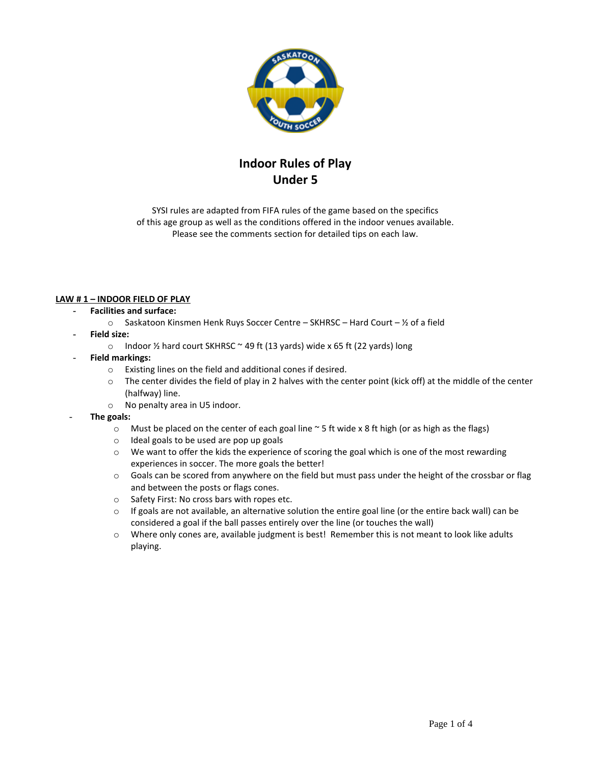

# **Indoor Rules of Play Under 5**

SYSI rules are adapted from FIFA rules of the game based on the specifics of this age group as well as the conditions offered in the indoor venues available. Please see the comments section for detailed tips on each law.

## **LAW # 1 – INDOOR FIELD OF PLAY**

## **- Facilities and surface:**

- $\circ$  Saskatoon Kinsmen Henk Ruys Soccer Centre SKHRSC Hard Court 1/2 of a field
- **- Field size:**
	- o Indoor ½ hard court SKHRSC ~ 49 ft (13 yards) wide x 65 ft (22 yards) long
- **Field markings:** 
	- o Existing lines on the field and additional cones if desired.
	- $\circ$  The center divides the field of play in 2 halves with the center point (kick off) at the middle of the center (halfway) line.
	- o No penalty area in U5 indoor.
- **The goals:**
	- $\circ$  Must be placed on the center of each goal line  $\sim$  5 ft wide x 8 ft high (or as high as the flags)
	- o Ideal goals to be used are pop up goals
	- o We want to offer the kids the experience of scoring the goal which is one of the most rewarding experiences in soccer. The more goals the better!
	- o Goals can be scored from anywhere on the field but must pass under the height of the crossbar or flag and between the posts or flags cones.
	- o Safety First: No cross bars with ropes etc.
	- $\circ$  If goals are not available, an alternative solution the entire goal line (or the entire back wall) can be considered a goal if the ball passes entirely over the line (or touches the wall)
	- o Where only cones are, available judgment is best! Remember this is not meant to look like adults playing.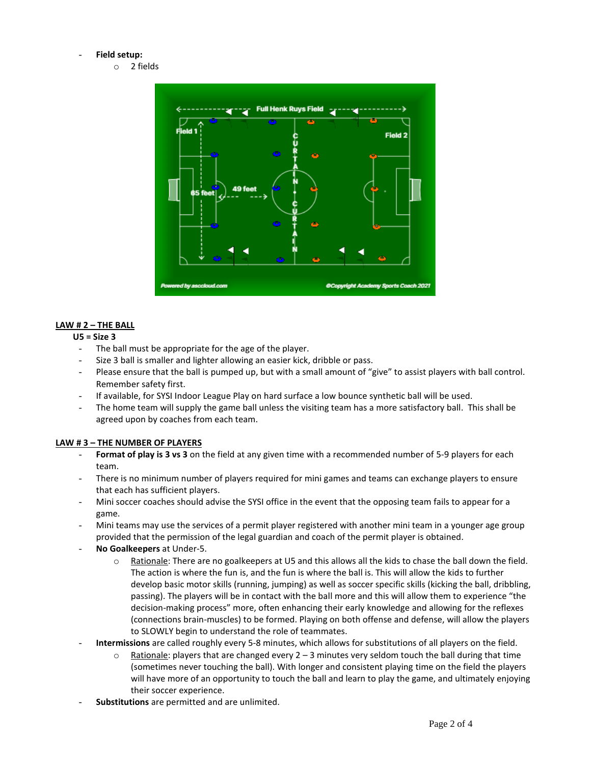#### - **Field setup:**

o 2 fields



## **LAW # 2 – THE BALL**

## **U5 = Size 3**

- The ball must be appropriate for the age of the player.
- Size 3 ball is smaller and lighter allowing an easier kick, dribble or pass.
- Please ensure that the ball is pumped up, but with a small amount of "give" to assist players with ball control. Remember safety first.
- If available, for SYSI Indoor League Play on hard surface a low bounce synthetic ball will be used.
- The home team will supply the game ball unless the visiting team has a more satisfactory ball. This shall be agreed upon by coaches from each team.

#### **LAW # 3 – THE NUMBER OF PLAYERS**

- Format of play is 3 vs 3 on the field at any given time with a recommended number of 5-9 players for each team.
- There is no minimum number of players required for mini games and teams can exchange players to ensure that each has sufficient players.
- Mini soccer coaches should advise the SYSI office in the event that the opposing team fails to appear for a game.
- Mini teams may use the services of a permit player registered with another mini team in a younger age group provided that the permission of the legal guardian and coach of the permit player is obtained.
- **No Goalkeepers** at Under-5.
	- $\circ$  Rationale: There are no goalkeepers at U5 and this allows all the kids to chase the ball down the field. The action is where the fun is, and the fun is where the ball is. This will allow the kids to further develop basic motor skills (running, jumping) as well as soccer specific skills (kicking the ball, dribbling, passing). The players will be in contact with the ball more and this will allow them to experience "the decision-making process" more, often enhancing their early knowledge and allowing for the reflexes (connections brain-muscles) to be formed. Playing on both offense and defense, will allow the players to SLOWLY begin to understand the role of teammates.
- **Intermissions** are called roughly every 5-8 minutes, which allows for substitutions of all players on the field.
	- $\circ$  Rationale: players that are changed every 2 3 minutes very seldom touch the ball during that time (sometimes never touching the ball). With longer and consistent playing time on the field the players will have more of an opportunity to touch the ball and learn to play the game, and ultimately enjoying their soccer experience.
- **Substitutions** are permitted and are unlimited.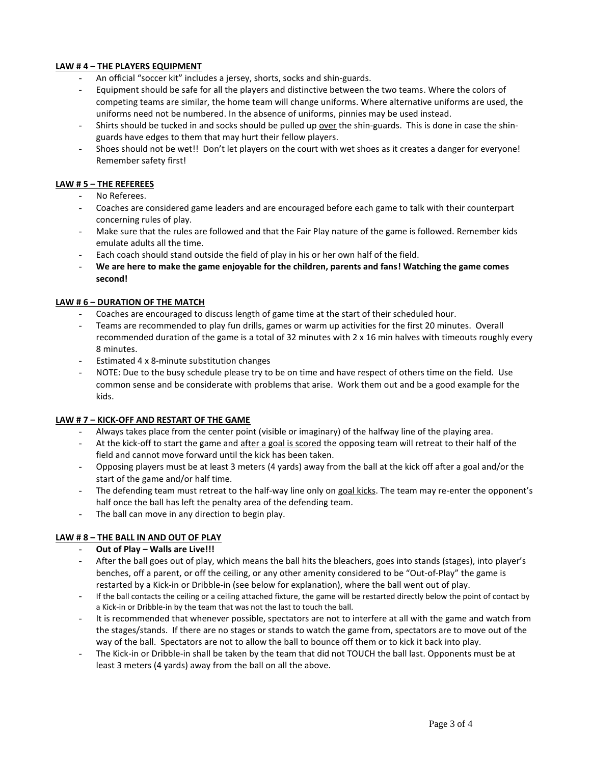#### **LAW # 4 – THE PLAYERS EQUIPMENT**

- An official "soccer kit" includes a jersey, shorts, socks and shin-guards.
- Equipment should be safe for all the players and distinctive between the two teams. Where the colors of competing teams are similar, the home team will change uniforms. Where alternative uniforms are used, the uniforms need not be numbered. In the absence of uniforms, pinnies may be used instead.
- Shirts should be tucked in and socks should be pulled up over the shin-guards. This is done in case the shinguards have edges to them that may hurt their fellow players.
- Shoes should not be wet!! Don't let players on the court with wet shoes as it creates a danger for everyone! Remember safety first!

#### **LAW # 5 – THE REFEREES**

- No Referees.
- Coaches are considered game leaders and are encouraged before each game to talk with their counterpart concerning rules of play.
- Make sure that the rules are followed and that the Fair Play nature of the game is followed. Remember kids emulate adults all the time.
- Each coach should stand outside the field of play in his or her own half of the field.
- **We are here to make the game enjoyable for the children, parents and fans! Watching the game comes second!**

#### **LAW # 6 – DURATION OF THE MATCH**

- Coaches are encouraged to discuss length of game time at the start of their scheduled hour.
- Teams are recommended to play fun drills, games or warm up activities for the first 20 minutes. Overall recommended duration of the game is a total of 32 minutes with 2 x 16 min halves with timeouts roughly every 8 minutes.
- Estimated 4 x 8-minute substitution changes
- NOTE: Due to the busy schedule please try to be on time and have respect of others time on the field. Use common sense and be considerate with problems that arise. Work them out and be a good example for the kids.

#### **LAW # 7 – KICK-OFF AND RESTART OF THE GAME**

- Always takes place from the center point (visible or imaginary) of the halfway line of the playing area.
- At the kick-off to start the game and after a goal is scored the opposing team will retreat to their half of the field and cannot move forward until the kick has been taken.
- Opposing players must be at least 3 meters (4 yards) away from the ball at the kick off after a goal and/or the start of the game and/or half time.
- The defending team must retreat to the half-way line only on goal kicks. The team may re-enter the opponent's half once the ball has left the penalty area of the defending team.
- The ball can move in any direction to begin play.

# **LAW # 8 – THE BALL IN AND OUT OF PLAY**

- **Out of Play – Walls are Live!!!**
- After the ball goes out of play, which means the ball hits the bleachers, goes into stands (stages), into player's benches, off a parent, or off the ceiling, or any other amenity considered to be "Out-of-Play" the game is restarted by a Kick-in or Dribble-in (see below for explanation), where the ball went out of play.
- If the ball contacts the ceiling or a ceiling attached fixture, the game will be restarted directly below the point of contact by a Kick-in or Dribble-in by the team that was not the last to touch the ball.
- It is recommended that whenever possible, spectators are not to interfere at all with the game and watch from the stages/stands.If there are no stages or stands to watch the game from, spectators are to move out of the way of the ball. Spectators are not to allow the ball to bounce off them or to kick it back into play.
- The Kick-in or Dribble-in shall be taken by the team that did not TOUCH the ball last. Opponents must be at least 3 meters (4 yards) away from the ball on all the above.